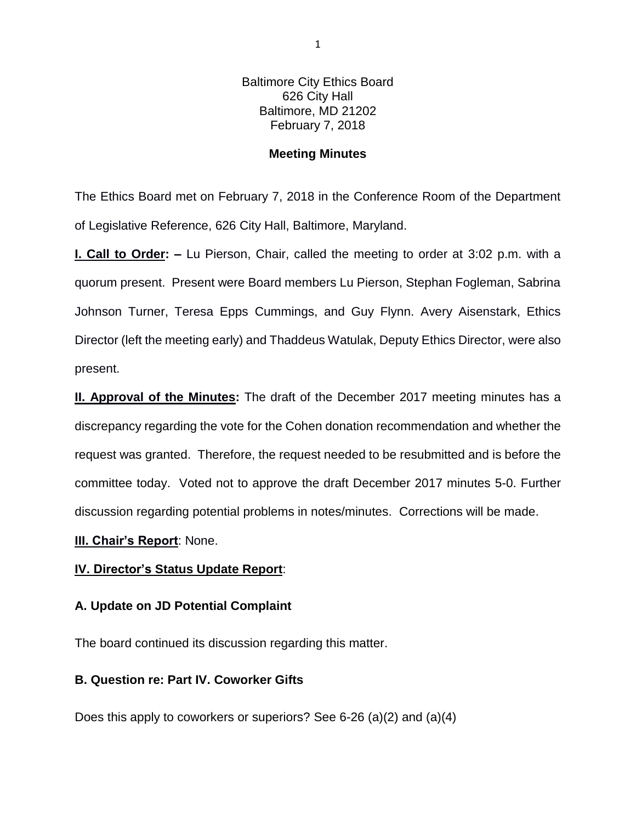Baltimore City Ethics Board 626 City Hall Baltimore, MD 21202 February 7, 2018

## **Meeting Minutes**

The Ethics Board met on February 7, 2018 in the Conference Room of the Department of Legislative Reference, 626 City Hall, Baltimore, Maryland.

**I. Call to Order: –** Lu Pierson, Chair, called the meeting to order at 3:02 p.m. with a quorum present. Present were Board members Lu Pierson, Stephan Fogleman, Sabrina Johnson Turner, Teresa Epps Cummings, and Guy Flynn. Avery Aisenstark, Ethics Director (left the meeting early) and Thaddeus Watulak, Deputy Ethics Director, were also present.

**II. Approval of the Minutes:** The draft of the December 2017 meeting minutes has a discrepancy regarding the vote for the Cohen donation recommendation and whether the request was granted. Therefore, the request needed to be resubmitted and is before the committee today. Voted not to approve the draft December 2017 minutes 5-0. Further discussion regarding potential problems in notes/minutes. Corrections will be made.

## **III. Chair's Report**: None.

## **IV. Director's Status Update Report**:

## **A. Update on JD Potential Complaint**

The board continued its discussion regarding this matter.

## **B. Question re: Part IV. Coworker Gifts**

Does this apply to coworkers or superiors? See 6-26 (a)(2) and (a)(4)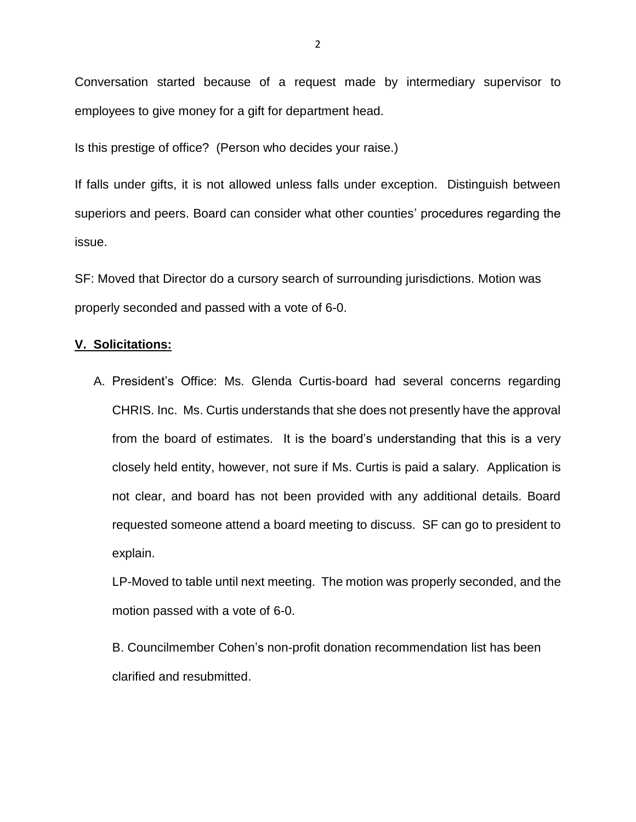Conversation started because of a request made by intermediary supervisor to employees to give money for a gift for department head.

Is this prestige of office? (Person who decides your raise.)

If falls under gifts, it is not allowed unless falls under exception. Distinguish between superiors and peers. Board can consider what other counties' procedures regarding the issue.

SF: Moved that Director do a cursory search of surrounding jurisdictions. Motion was properly seconded and passed with a vote of 6-0.

#### **V. Solicitations:**

A. President's Office: Ms. Glenda Curtis-board had several concerns regarding CHRIS. Inc. Ms. Curtis understands that she does not presently have the approval from the board of estimates. It is the board's understanding that this is a very closely held entity, however, not sure if Ms. Curtis is paid a salary. Application is not clear, and board has not been provided with any additional details. Board requested someone attend a board meeting to discuss. SF can go to president to explain.

LP-Moved to table until next meeting. The motion was properly seconded, and the motion passed with a vote of 6-0.

B. Councilmember Cohen's non-profit donation recommendation list has been clarified and resubmitted.